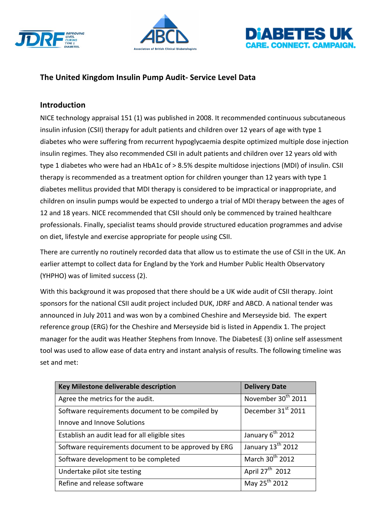





# The United Kingdom Insulin Pump Audit- Service Level Data

# **Introduction**

NICE technology appraisal 151 (1) was published in 2008. It recommended continuous subcutaneous insulin infusion (CSII) therapy for adult patients and children over 12 years of age with type 1 diabetes who were suffering from recurrent hypoglycaemia despite optimized multiple dose injection insulin regimes. They also recommended CSII in adult patients and children over 12 years old with type 1 diabetes who were had an HbA1c of > 8.5% despite multidose injections (MDI) of insulin. CSII therapy is recommended as a treatment option for children younger than 12 years with type 1 diabetes mellitus provided that MDI therapy is considered to be impractical or inappropriate, and children on insulin pumps would be expected to undergo a trial of MDI therapy between the ages of 12 and 18 years. NICE recommended that CSII should only be commenced by trained healthcare professionals. Finally, specialist teams should provide structured education programmes and advise on diet, lifestyle and exercise appropriate for people using CSII.

There are currently no routinely recorded data that allow us to estimate the use of CSII in the UK. An earlier attempt to collect data for England by the York and Humber Public Health Observatory (YHPHO) was of limited success (2).

With this background it was proposed that there should be a UK wide audit of CSII therapy. Joint sponsors for the national CSII audit project included DUK, JDRF and ABCD. A national tender was announced in July 2011 and was won by a combined Cheshire and Merseyside bid. The expert reference group (ERG) for the Cheshire and Merseyside bid is listed in Appendix 1. The project manager for the audit was Heather Stephens from Innove. The DiabetesE (3) online self assessment tool was used to allow ease of data entry and instant analysis of results. The following timeline was set and met:

| Key Milestone deliverable description                | <b>Delivery Date</b>          |
|------------------------------------------------------|-------------------------------|
| Agree the metrics for the audit.                     | November 30th 2011            |
| Software requirements document to be compiled by     | December 31st 2011            |
| Innove and Innove Solutions                          |                               |
| Establish an audit lead for all eligible sites       | January 6 <sup>th</sup> 2012  |
| Software requirements document to be approved by ERG | January 13 <sup>th</sup> 2012 |
| Software development to be completed                 | March 30 <sup>th</sup> 2012   |
| Undertake pilot site testing                         | April $27^{\text{th}}$ 2012   |
| Refine and release software                          | May 25 <sup>th</sup> 2012     |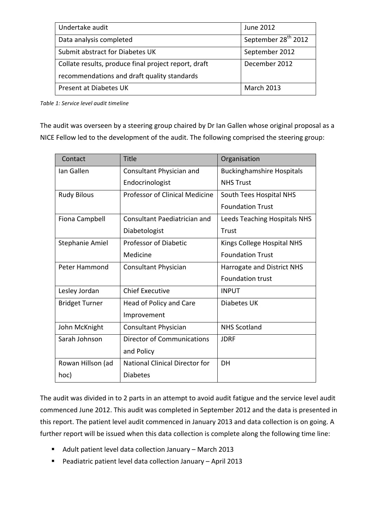| Undertake audit                                      | June 2012                       |
|------------------------------------------------------|---------------------------------|
| Data analysis completed                              | September 28 <sup>th</sup> 2012 |
| Submit abstract for Diabetes UK                      | September 2012                  |
| Collate results, produce final project report, draft | December 2012                   |
| recommendations and draft quality standards          |                                 |
| Present at Diabetes UK                               | <b>March 2013</b>               |

*Table 1: Service level audit timeline*

The audit was overseen by a steering group chaired by Dr Ian Gallen whose original proposal as a NICE Fellow led to the development of the audit. The following comprised the steering group:

| Contact                | <b>Title</b>                          | Organisation                     |
|------------------------|---------------------------------------|----------------------------------|
| Ian Gallen             | Consultant Physician and              | <b>Buckinghamshire Hospitals</b> |
|                        | Endocrinologist                       | <b>NHS Trust</b>                 |
| <b>Rudy Bilous</b>     | <b>Professor of Clinical Medicine</b> | South Tees Hospital NHS          |
|                        |                                       | <b>Foundation Trust</b>          |
| Fiona Campbell         | Consultant Paediatrician and          | Leeds Teaching Hospitals NHS     |
|                        | Diabetologist                         | Trust                            |
| <b>Stephanie Amiel</b> | <b>Professor of Diabetic</b>          | Kings College Hospital NHS       |
|                        | Medicine                              | <b>Foundation Trust</b>          |
| Peter Hammond          | Consultant Physician                  | Harrogate and District NHS       |
|                        |                                       | <b>Foundation trust</b>          |
| Lesley Jordan          | <b>Chief Executive</b>                | <b>INPUT</b>                     |
| <b>Bridget Turner</b>  | Head of Policy and Care               | Diabetes UK                      |
|                        | Improvement                           |                                  |
| John McKnight          | <b>Consultant Physician</b>           | <b>NHS Scotland</b>              |
| Sarah Johnson          | <b>Director of Communications</b>     | <b>JDRF</b>                      |
|                        | and Policy                            |                                  |
| Rowan Hillson (ad      | National Clinical Director for        | DH                               |
| hoc)                   | <b>Diabetes</b>                       |                                  |

The audit was divided in to 2 parts in an attempt to avoid audit fatigue and the service level audit commenced June 2012. This audit was completed in September 2012 and the data is presented in this report. The patient level audit commenced in January 2013 and data collection is on going. A further report will be issued when this data collection is complete along the following time line:

- Adult patient level data collection January March 2013
- Peadiatric patient level data collection January April 2013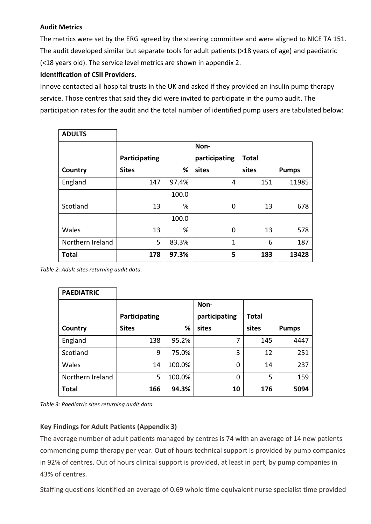## **Audit Metrics**

The metrics were set by the ERG agreed by the steering committee and were aligned to NICE TA 151. The audit developed similar but separate tools for adult patients (>18 years of age) and paediatric (<18 years old). The service level metrics are shown in appendix 2.

# **Identification of CSII Providers.**

Innove contacted all hospital trusts in the UK and asked if they provided an insulin pump therapy service. Those centres that said they did were invited to participate in the pump audit. The participation rates for the audit and the total number of identified pump users are tabulated below:

| <b>ADULTS</b>    |               |       |               |              |              |
|------------------|---------------|-------|---------------|--------------|--------------|
|                  |               |       | Non-          |              |              |
|                  | Participating |       | participating | <b>Total</b> |              |
| Country          | <b>Sites</b>  | %     | sites         | sites        | <b>Pumps</b> |
| England          | 147           | 97.4% | 4             | 151          | 11985        |
|                  |               | 100.0 |               |              |              |
| Scotland         | 13            | %     | 0             | 13           | 678          |
|                  |               | 100.0 |               |              |              |
| Wales            | 13            | %     | 0             | 13           | 578          |
| Northern Ireland | 5             | 83.3% | 1             | 6            | 187          |
| <b>Total</b>     | 178           | 97.3% | 5             | 183          | 13428        |

Table 2: Adult sites returning audit data.

| <b>PAEDIATRIC</b> |               |        |               |       |              |
|-------------------|---------------|--------|---------------|-------|--------------|
|                   |               |        | Non-          |       |              |
|                   | Participating |        | participating | Total |              |
| Country           | <b>Sites</b>  | %      | sites         | sites | <b>Pumps</b> |
| England           | 138           | 95.2%  | 7             | 145   | 4447         |
| Scotland          | 9             | 75.0%  | 3             | 12    | 251          |
| Wales             | 14            | 100.0% | 0             | 14    | 237          |
| Northern Ireland  | 5             | 100.0% | 0             | 5     | 159          |
| <b>Total</b>      | 166           | 94.3%  | 10            | 176   | 5094         |

Table 3: Paediatric sites returning audit data.

## **Key Findings for Adult Patients (Appendix 3)**

The average number of adult patients managed by centres is 74 with an average of 14 new patients commencing pump therapy per year. Out of hours technical support is provided by pump companies in 92% of centres. Out of hours clinical support is provided, at least in part, by pump companies in 43% of centres.

Staffing questions identified an average of 0.69 whole time equivalent nurse specialist time provided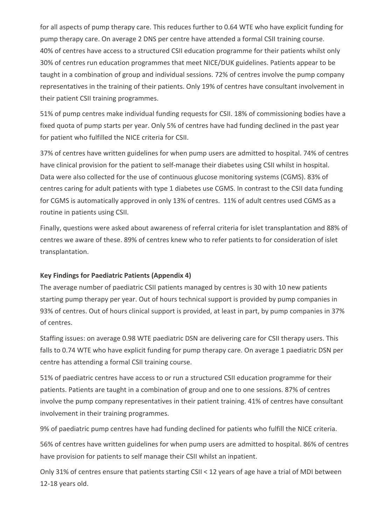for all aspects of pump therapy care. This reduces further to 0.64 WTE who have explicit funding for pump therapy care. On average 2 DNS per centre have attended a formal CSII training course. 40% of centres have access to a structured CSII education programme for their patients whilst only 30% of centres run education programmes that meet NICE/DUK guidelines. Patients appear to be taught in a combination of group and individual sessions. 72% of centres involve the pump company representatives in the training of their patients. Only 19% of centres have consultant involvement in their patient CSII training programmes.

51% of pump centres make individual funding requests for CSII. 18% of commissioning bodies have a fixed quota of pump starts per year. Only 5% of centres have had funding declined in the past year for patient who fulfilled the NICE criteria for CSII.

37% of centres have written guidelines for when pump users are admitted to hospital. 74% of centres have clinical provision for the patient to self-manage their diabetes using CSII whilst in hospital. Data were also collected for the use of continuous glucose monitoring systems (CGMS). 83% of centres caring for adult patients with type 1 diabetes use CGMS. In contrast to the CSII data funding for CGMS is automatically approved in only 13% of centres. 11% of adult centres used CGMS as a routine in patients using CSII.

Finally, questions were asked about awareness of referral criteria for islet transplantation and 88% of centres we aware of these. 89% of centres knew who to refer patients to for consideration of islet transplantation.

## **Key Findings for Paediatric Patients (Appendix 4)**

The average number of paediatric CSII patients managed by centres is 30 with 10 new patients starting pump therapy per year. Out of hours technical support is provided by pump companies in 93% of centres. Out of hours clinical support is provided, at least in part, by pump companies in 37% of centres.

Staffing issues: on average 0.98 WTE paediatric DSN are delivering care for CSII therapy users. This falls to 0.74 WTE who have explicit funding for pump therapy care. On average 1 paediatric DSN per centre has attending a formal CSII training course.

51% of paediatric centres have access to or run a structured CSII education programme for their patients. Patients are taught in a combination of group and one to one sessions. 87% of centres involve the pump company representatives in their patient training. 41% of centres have consultant involvement in their training programmes.

9% of paediatric pump centres have had funding declined for patients who fulfill the NICE criteria.

56% of centres have written guidelines for when pump users are admitted to hospital. 86% of centres have provision for patients to self manage their CSII whilst an inpatient.

Only 31% of centres ensure that patients starting CSII < 12 years of age have a trial of MDI between 12-18 years old.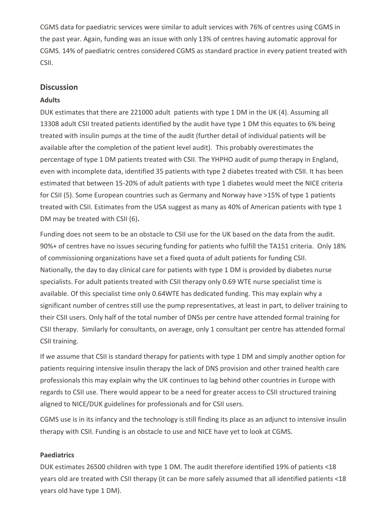CGMS data for paediatric services were similar to adult services with 76% of centres using CGMS in the past year. Again, funding was an issue with only 13% of centres having automatic approval for CGMS. 14% of paediatric centres considered CGMS as standard practice in every patient treated with CSII.

## **Discussion**

#### **Adults**

DUK estimates that there are 221000 adult patients with type 1 DM in the UK (4). Assuming all 13308 adult CSII treated patients identified by the audit have type 1 DM this equates to 6% being treated with insulin pumps at the time of the audit (further detail of individual patients will be available after the completion of the patient level audit). This probably overestimates the percentage of type 1 DM patients treated with CSII. The YHPHO audit of pump therapy in England, even with incomplete data, identified 35 patients with type 2 diabetes treated with CSII. It has been estimated that between 15-20% of adult patients with type 1 diabetes would meet the NICE criteria for CSII (5). Some European countries such as Germany and Norway have >15% of type 1 patients treated with CSII. Estimates from the USA suggest as many as 40% of American patients with type 1 DM may be treated with CSII (6).

Funding does not seem to be an obstacle to CSII use for the UK based on the data from the audit. 90%+ of centres have no issues securing funding for patients who fulfill the TA151 criteria. Only 18% of commissioning organizations have set a fixed quota of adult patients for funding CSII. Nationally, the day to day clinical care for patients with type 1 DM is provided by diabetes nurse specialists. For adult patients treated with CSII therapy only 0.69 WTE nurse specialist time is available. Of this specialist time only 0.64WTE has dedicated funding. This may explain why a significant number of centres still use the pump representatives, at least in part, to deliver training to their CSII users. Only half of the total number of DNSs per centre have attended formal training for CSII therapy. Similarly for consultants, on average, only 1 consultant per centre has attended formal CSII training.

If we assume that CSII is standard therapy for patients with type 1 DM and simply another option for patients requiring intensive insulin therapy the lack of DNS provision and other trained health care professionals this may explain why the UK continues to lag behind other countries in Europe with regards to CSII use. There would appear to be a need for greater access to CSII structured training aligned to NICE/DUK guidelines for professionals and for CSII users.

CGMS use is in its infancy and the technology is still finding its place as an adjunct to intensive insulin therapy with CSII. Funding is an obstacle to use and NICE have yet to look at CGMS.

#### **Paediatrics**

DUK estimates 26500 children with type 1 DM. The audit therefore identified 19% of patients <18 years old are treated with CSII therapy (it can be more safely assumed that all identified patients <18 years old have type 1 DM).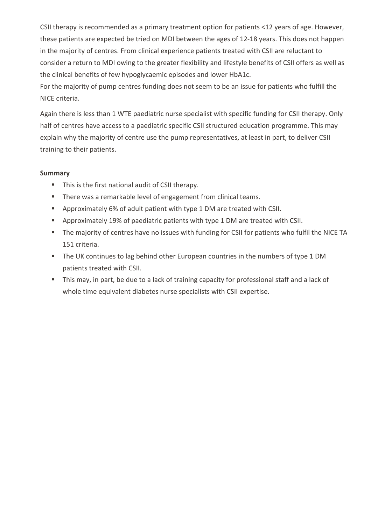CSII therapy is recommended as a primary treatment option for patients <12 years of age. However, these patients are expected be tried on MDI between the ages of 12-18 years. This does not happen in the majority of centres. From clinical experience patients treated with CSII are reluctant to consider a return to MDI owing to the greater flexibility and lifestyle benefits of CSII offers as well as the clinical benefits of few hypoglycaemic episodes and lower HbA1c.

For the majority of pump centres funding does not seem to be an issue for patients who fulfill the NICE criteria.

Again there is less than 1 WTE paediatric nurse specialist with specific funding for CSII therapy. Only half of centres have access to a paediatric specific CSII structured education programme. This may explain why the majority of centre use the pump representatives, at least in part, to deliver CSII training to their patients.

## **Summary**

- $\blacksquare$  This is the first national audit of CSII therapy.
- There was a remarkable level of engagement from clinical teams.
- Approximately 6% of adult patient with type 1 DM are treated with CSII.
- **E** Approximately 19% of paediatric patients with type 1 DM are treated with CSII.
- The majority of centres have no issues with funding for CSII for patients who fulfil the NICE TA 151 criteria.
- The UK continues to lag behind other European countries in the numbers of type 1 DM patients treated with CSII.
- This may, in part, be due to a lack of training capacity for professional staff and a lack of whole time equivalent diabetes nurse specialists with CSII expertise.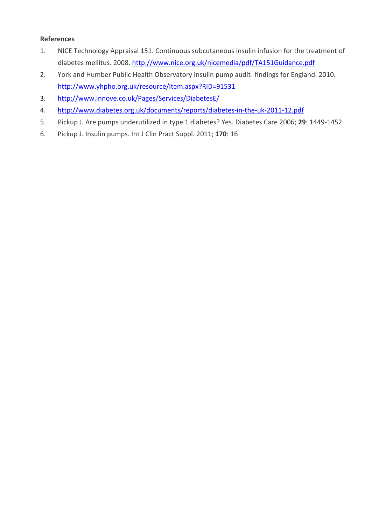### **References**

- 1. NICE Technology Appraisal 151. Continuous subcutaneous insulin infusion for the treatment of diabetes mellitus. 2008. http://www.nice.org.uk/nicemedia/pdf/TA151Guidance.pdf
- 2. York and Humber Public Health Observatory Insulin pump audit- findings for England. 2010. http://www.yhpho.org.uk/resource/item.aspx?RID=91531
- 3. http://www.innove.co.uk/Pages/Services/DiabetesE/
- 4. http://www.diabetes.org.uk/documents/reports/diabetes-in-the-uk-2011-12.pdf
- 5. Pickup J. Are pumps underutilized in type 1 diabetes? Yes. Diabetes Care 2006; 29: 1449-1452.
- 6. Pickup J. Insulin pumps. Int J Clin Pract Suppl. 2011; 170: 16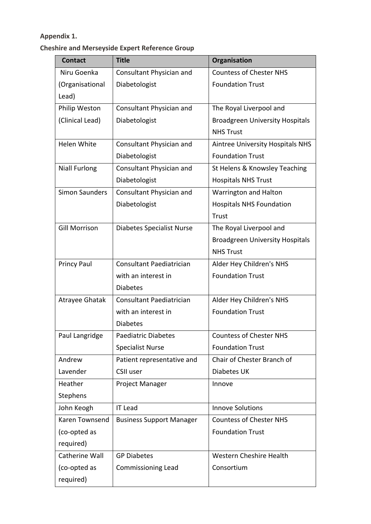# **Appendix 1.**

# **Cheshire and Merseyside Expert Reference Group**

| <b>Contact</b>        | <b>Title</b>                     | <b>Organisation</b>                     |
|-----------------------|----------------------------------|-----------------------------------------|
| Niru Goenka           | Consultant Physician and         | <b>Countess of Chester NHS</b>          |
| (Organisational       | Diabetologist                    | <b>Foundation Trust</b>                 |
| Lead)                 |                                  |                                         |
| Philip Weston         | Consultant Physician and         | The Royal Liverpool and                 |
| (Clinical Lead)       | Diabetologist                    | <b>Broadgreen University Hospitals</b>  |
|                       |                                  | <b>NHS Trust</b>                        |
| Helen White           | Consultant Physician and         | <b>Aintree University Hospitals NHS</b> |
|                       | Diabetologist                    | <b>Foundation Trust</b>                 |
| <b>Niall Furlong</b>  | Consultant Physician and         | St Helens & Knowsley Teaching           |
|                       | Diabetologist                    | <b>Hospitals NHS Trust</b>              |
| <b>Simon Saunders</b> | Consultant Physician and         | Warrington and Halton                   |
|                       | Diabetologist                    | <b>Hospitals NHS Foundation</b>         |
|                       |                                  | Trust                                   |
| <b>Gill Morrison</b>  | <b>Diabetes Specialist Nurse</b> | The Royal Liverpool and                 |
|                       |                                  | <b>Broadgreen University Hospitals</b>  |
|                       |                                  | <b>NHS Trust</b>                        |
| <b>Princy Paul</b>    | Consultant Paediatrician         | Alder Hey Children's NHS                |
|                       | with an interest in              | <b>Foundation Trust</b>                 |
|                       | <b>Diabetes</b>                  |                                         |
| Atrayee Ghatak        | Consultant Paediatrician         | Alder Hey Children's NHS                |
|                       | with an interest in              | <b>Foundation Trust</b>                 |
|                       | <b>Diabetes</b>                  |                                         |
| Paul Langridge        | <b>Paediatric Diabetes</b>       | <b>Countess of Chester NHS</b>          |
|                       | <b>Specialist Nurse</b>          | <b>Foundation Trust</b>                 |
| Andrew                | Patient representative and       | Chair of Chester Branch of              |
| Lavender              | <b>CSII user</b>                 | Diabetes UK                             |
| Heather               | Project Manager                  | Innove                                  |
| Stephens              |                                  |                                         |
| John Keogh            | <b>IT Lead</b>                   | <b>Innove Solutions</b>                 |
| Karen Townsend        | <b>Business Support Manager</b>  | <b>Countess of Chester NHS</b>          |
| (co-opted as          |                                  | <b>Foundation Trust</b>                 |
| required)             |                                  |                                         |
| Catherine Wall        | <b>GP Diabetes</b>               | Western Cheshire Health                 |
| (co-opted as          | <b>Commissioning Lead</b>        | Consortium                              |
| required)             |                                  |                                         |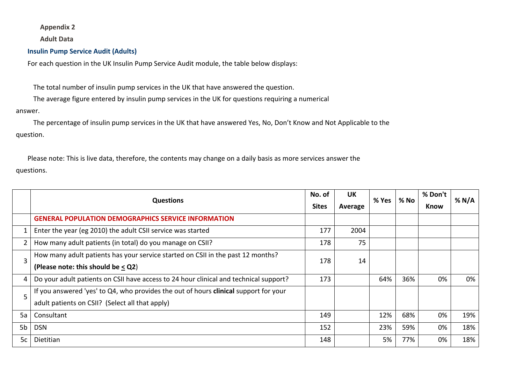#### **Appendix 2**

**Adult Data**

#### **Insulin Pump Service Audit (Adults)**

For each question in the UK Insulin Pump Service Audit module, the table below displays:

The total number of insulin pump services in the UK that have answered the question.

The average figure entered by insulin pump services in the UK for questions requiring a numerical

#### answer.

The percentage of insulin pump services in the UK that have answered Yes, No, Don't Know and Not Applicable to the question.

Please note: This is live data, therefore, the contents may change on a daily basis as more services answer the questions.

|    | <b>Questions</b>                                                                      | No. of<br><b>Sites</b> | UK<br>Average | % Yes | $%$ No | % Don't<br>Know | % N/A |
|----|---------------------------------------------------------------------------------------|------------------------|---------------|-------|--------|-----------------|-------|
|    | <b>GENERAL POPULATION DEMOGRAPHICS SERVICE INFORMATION</b>                            |                        |               |       |        |                 |       |
|    | Enter the year (eg 2010) the adult CSII service was started                           | 177                    | 2004          |       |        |                 |       |
|    | How many adult patients (in total) do you manage on CSII?                             | 178                    | 75            |       |        |                 |       |
| 3  | How many adult patients has your service started on CSII in the past 12 months?       | 178                    | 14            |       |        |                 |       |
|    | (Please note: this should be $\leq$ Q2)                                               |                        |               |       |        |                 |       |
|    | Do your adult patients on CSII have access to 24 hour clinical and technical support? | 173                    |               | 64%   | 36%    | 0%              | 0%    |
| 5  | If you answered 'yes' to Q4, who provides the out of hours clinical support for your  |                        |               |       |        |                 |       |
|    | adult patients on CSII? (Select all that apply)                                       |                        |               |       |        |                 |       |
| 5а | Consultant                                                                            | 149                    |               | 12%   | 68%    | 0%              | 19%   |
| 5b | <b>DSN</b>                                                                            | 152                    |               | 23%   | 59%    | 0%              | 18%   |
| 5c | Dietitian                                                                             | 148                    |               | 5%    | 77%    | 0%              | 18%   |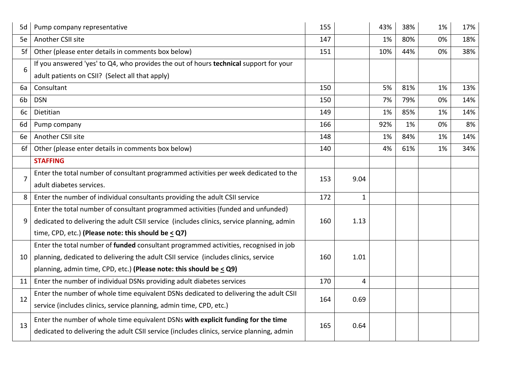| 5d             | Pump company representative                                                               | 155 |                | 43% | 38% | 1% | 17% |
|----------------|-------------------------------------------------------------------------------------------|-----|----------------|-----|-----|----|-----|
| 5e             | Another CSII site                                                                         | 147 |                | 1%  | 80% | 0% | 18% |
| 5f             | Other (please enter details in comments box below)                                        | 151 |                | 10% | 44% | 0% | 38% |
| 6              | If you answered 'yes' to Q4, who provides the out of hours technical support for your     |     |                |     |     |    |     |
|                | adult patients on CSII? (Select all that apply)                                           |     |                |     |     |    |     |
| 6a             | Consultant                                                                                | 150 |                | 5%  | 81% | 1% | 13% |
| 6b             | <b>DSN</b>                                                                                | 150 |                | 7%  | 79% | 0% | 14% |
| 6c             | Dietitian                                                                                 | 149 |                | 1%  | 85% | 1% | 14% |
| 6d             | Pump company                                                                              | 166 |                | 92% | 1%  | 0% | 8%  |
| 6e             | Another CSII site                                                                         | 148 |                | 1%  | 84% | 1% | 14% |
| 6f             | Other (please enter details in comments box below)                                        | 140 |                | 4%  | 61% | 1% | 34% |
|                | <b>STAFFING</b>                                                                           |     |                |     |     |    |     |
| $\overline{7}$ | Enter the total number of consultant programmed activities per week dedicated to the      | 153 | 9.04           |     |     |    |     |
|                | adult diabetes services.                                                                  |     |                |     |     |    |     |
| 8              | Enter the number of individual consultants providing the adult CSII service               | 172 | $\mathbf{1}$   |     |     |    |     |
|                | Enter the total number of consultant programmed activities (funded and unfunded)          |     |                |     |     |    |     |
| 9              | dedicated to delivering the adult CSII service (includes clinics, service planning, admin | 160 | 1.13           |     |     |    |     |
|                | time, CPD, etc.) (Please note: this should be $\leq$ Q7)                                  |     |                |     |     |    |     |
|                | Enter the total number of funded consultant programmed activities, recognised in job      |     |                |     |     |    |     |
| 10             | planning, dedicated to delivering the adult CSII service (includes clinics, service       | 160 | 1.01           |     |     |    |     |
|                | planning, admin time, CPD, etc.) (Please note: this should be $\leq$ Q9)                  |     |                |     |     |    |     |
| 11             | Enter the number of individual DSNs providing adult diabetes services                     | 170 | $\overline{4}$ |     |     |    |     |
| 12             | Enter the number of whole time equivalent DSNs dedicated to delivering the adult CSII     | 164 | 0.69           |     |     |    |     |
|                | service (includes clinics, service planning, admin time, CPD, etc.)                       |     |                |     |     |    |     |
|                | Enter the number of whole time equivalent DSNs with explicit funding for the time         |     |                |     |     |    |     |
| 13             | dedicated to delivering the adult CSII service (includes clinics, service planning, admin | 165 | 0.64           |     |     |    |     |
|                |                                                                                           |     |                |     |     |    |     |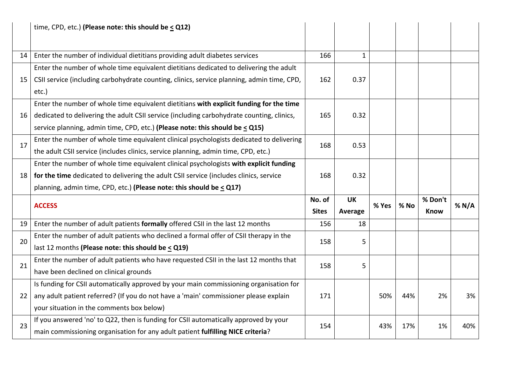|    | time, CPD, etc.) (Please note: this should be $\leq$ Q12)                                  |              |              |       |        |             |       |
|----|--------------------------------------------------------------------------------------------|--------------|--------------|-------|--------|-------------|-------|
| 14 | Enter the number of individual dietitians providing adult diabetes services                | 166          | $\mathbf{1}$ |       |        |             |       |
|    | Enter the number of whole time equivalent dietitians dedicated to delivering the adult     |              |              |       |        |             |       |
| 15 | CSII service (including carbohydrate counting, clinics, service planning, admin time, CPD, | 162          | 0.37         |       |        |             |       |
|    | etc.)                                                                                      |              |              |       |        |             |       |
|    | Enter the number of whole time equivalent dietitians with explicit funding for the time    |              |              |       |        |             |       |
| 16 | dedicated to delivering the adult CSII service (including carbohydrate counting, clinics,  | 165          | 0.32         |       |        |             |       |
|    | service planning, admin time, CPD, etc.) (Please note: this should be $\leq$ Q15)          |              |              |       |        |             |       |
|    | Enter the number of whole time equivalent clinical psychologists dedicated to delivering   |              |              |       |        |             |       |
| 17 | the adult CSII service (includes clinics, service planning, admin time, CPD, etc.)         | 168          | 0.53         |       |        |             |       |
|    | Enter the number of whole time equivalent clinical psychologists with explicit funding     |              |              |       |        |             |       |
| 18 | for the time dedicated to delivering the adult CSII service (includes clinics, service     | 168          | 0.32         |       |        |             |       |
|    |                                                                                            |              |              |       |        |             |       |
|    | planning, admin time, CPD, etc.) (Please note: this should be < Q17)                       |              |              |       |        |             |       |
|    |                                                                                            | No. of       | <b>UK</b>    |       |        | % Don't     |       |
|    | <b>ACCESS</b>                                                                              | <b>Sites</b> | Average      | % Yes | $%$ No | <b>Know</b> | % N/A |
| 19 | Enter the number of adult patients formally offered CSII in the last 12 months             | 156          | 18           |       |        |             |       |
|    | Enter the number of adult patients who declined a formal offer of CSII therapy in the      |              |              |       |        |             |       |
| 20 | last 12 months (Please note: this should be $\leq$ Q19)                                    | 158          | 5            |       |        |             |       |
|    | Enter the number of adult patients who have requested CSII in the last 12 months that      |              |              |       |        |             |       |
| 21 | have been declined on clinical grounds                                                     | 158          | 5            |       |        |             |       |
|    | Is funding for CSII automatically approved by your main commissioning organisation for     |              |              |       |        |             |       |
| 22 | any adult patient referred? (If you do not have a 'main' commissioner please explain       | 171          |              | 50%   | 44%    | 2%          | 3%    |
|    | your situation in the comments box below)                                                  |              |              |       |        |             |       |
| 23 | If you answered 'no' to Q22, then is funding for CSII automatically approved by your       | 154          |              | 43%   | 17%    | 1%          | 40%   |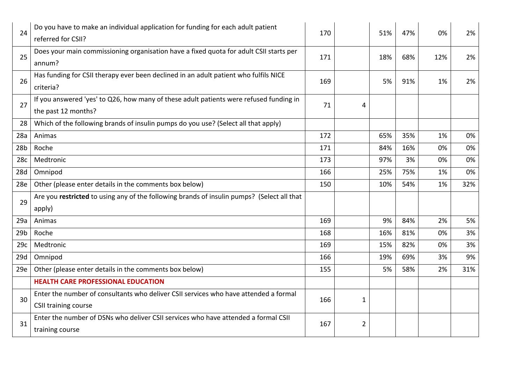| 24              | Do you have to make an individual application for funding for each adult patient<br>referred for CSII?        | 170 |                | 51% | 47% | 0%  | 2%  |
|-----------------|---------------------------------------------------------------------------------------------------------------|-----|----------------|-----|-----|-----|-----|
| 25              | Does your main commissioning organisation have a fixed quota for adult CSII starts per<br>annum?              | 171 |                | 18% | 68% | 12% | 2%  |
| 26              | Has funding for CSII therapy ever been declined in an adult patient who fulfils NICE<br>criteria?             | 169 |                | 5%  | 91% | 1%  | 2%  |
| 27              | If you answered 'yes' to Q26, how many of these adult patients were refused funding in<br>the past 12 months? | 71  | 4              |     |     |     |     |
| 28              | Which of the following brands of insulin pumps do you use? (Select all that apply)                            |     |                |     |     |     |     |
| 28a             | Animas                                                                                                        | 172 |                | 65% | 35% | 1%  | 0%  |
| 28 <sub>b</sub> | Roche                                                                                                         | 171 |                | 84% | 16% | 0%  | 0%  |
| 28c             | Medtronic                                                                                                     | 173 |                | 97% | 3%  | 0%  | 0%  |
| 28d             | Omnipod                                                                                                       | 166 |                | 25% | 75% | 1%  | 0%  |
| 28e             | Other (please enter details in the comments box below)                                                        | 150 |                | 10% | 54% | 1%  | 32% |
| 29              | Are you restricted to using any of the following brands of insulin pumps? (Select all that<br>apply)          |     |                |     |     |     |     |
| 29a             | Animas                                                                                                        | 169 |                | 9%  | 84% | 2%  | 5%  |
| 29 <sub>b</sub> | Roche                                                                                                         | 168 |                | 16% | 81% | 0%  | 3%  |
| 29c             | Medtronic                                                                                                     | 169 |                | 15% | 82% | 0%  | 3%  |
| 29d             | Omnipod                                                                                                       | 166 |                | 19% | 69% | 3%  | 9%  |
| 29e             | Other (please enter details in the comments box below)                                                        | 155 |                | 5%  | 58% | 2%  | 31% |
|                 | <b>HEALTH CARE PROFESSIONAL EDUCATION</b>                                                                     |     |                |     |     |     |     |
| 30              | Enter the number of consultants who deliver CSII services who have attended a formal<br>CSII training course  | 166 | $\mathbf{1}$   |     |     |     |     |
| 31              | Enter the number of DSNs who deliver CSII services who have attended a formal CSII<br>training course         | 167 | $\overline{2}$ |     |     |     |     |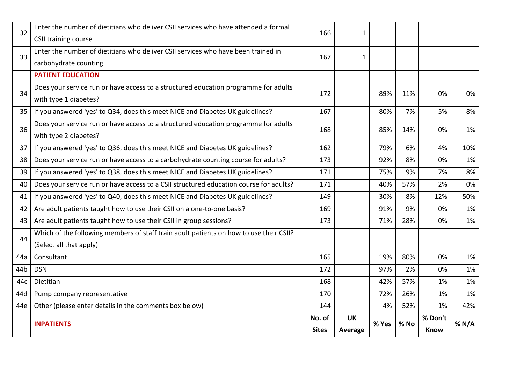| 32  | Enter the number of dietitians who deliver CSII services who have attended a formal<br><b>CSII training course</b> | 166                    | 1                    |       |        |                        |       |
|-----|--------------------------------------------------------------------------------------------------------------------|------------------------|----------------------|-------|--------|------------------------|-------|
|     | Enter the number of dietitians who deliver CSII services who have been trained in                                  |                        |                      |       |        |                        |       |
| 33  | carbohydrate counting                                                                                              | 167                    | $\mathbf{1}$         |       |        |                        |       |
|     | <b>PATIENT EDUCATION</b>                                                                                           |                        |                      |       |        |                        |       |
| 34  | Does your service run or have access to a structured education programme for adults<br>with type 1 diabetes?       | 172                    |                      | 89%   | 11%    | 0%                     | 0%    |
| 35  | If you answered 'yes' to Q34, does this meet NICE and Diabetes UK guidelines?                                      | 167                    |                      | 80%   | 7%     | 5%                     | 8%    |
| 36  | Does your service run or have access to a structured education programme for adults<br>with type 2 diabetes?       | 168                    |                      | 85%   | 14%    | 0%                     | 1%    |
| 37  | If you answered 'yes' to Q36, does this meet NICE and Diabetes UK guidelines?                                      | 162                    |                      | 79%   | 6%     | 4%                     | 10%   |
| 38  | Does your service run or have access to a carbohydrate counting course for adults?                                 | 173                    |                      | 92%   | 8%     | 0%                     | 1%    |
| 39  | If you answered 'yes' to Q38, does this meet NICE and Diabetes UK guidelines?                                      | 171                    |                      | 75%   | 9%     | 7%                     | 8%    |
| 40  | Does your service run or have access to a CSII structured education course for adults?                             | 171                    |                      | 40%   | 57%    | 2%                     | 0%    |
| 41  | If you answered 'yes' to Q40, does this meet NICE and Diabetes UK guidelines?                                      | 149                    |                      | 30%   | 8%     | 12%                    | 50%   |
| 42  | Are adult patients taught how to use their CSII on a one-to-one basis?                                             | 169                    |                      | 91%   | 9%     | 0%                     | 1%    |
| 43  | Are adult patients taught how to use their CSII in group sessions?                                                 | 173                    |                      | 71%   | 28%    | 0%                     | 1%    |
| 44  | Which of the following members of staff train adult patients on how to use their CSII?                             |                        |                      |       |        |                        |       |
|     | (Select all that apply)                                                                                            |                        |                      |       |        |                        |       |
| 44a | Consultant                                                                                                         | 165                    |                      | 19%   | 80%    | 0%                     | 1%    |
| 44b | <b>DSN</b>                                                                                                         | 172                    |                      | 97%   | 2%     | 0%                     | 1%    |
| 44c | Dietitian                                                                                                          | 168                    |                      | 42%   | 57%    | 1%                     | 1%    |
| 44d | Pump company representative                                                                                        | 170                    |                      | 72%   | 26%    | 1%                     | 1%    |
| 44e | Other (please enter details in the comments box below)                                                             | 144                    |                      | 4%    | 52%    | 1%                     | 42%   |
|     | <b>INPATIENTS</b>                                                                                                  | No. of<br><b>Sites</b> | <b>UK</b><br>Average | % Yes | $%$ No | % Don't<br><b>Know</b> | % N/A |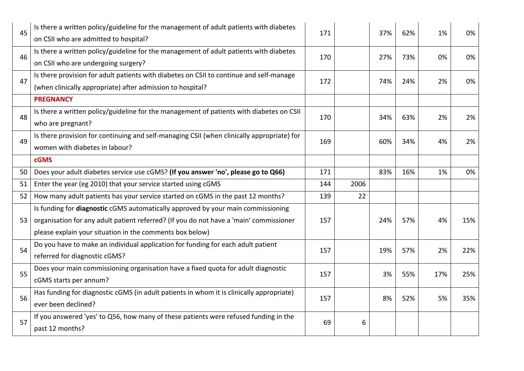| 45 | Is there a written policy/guideline for the management of adult patients with diabetes<br>on CSII who are admitted to hospital?                                                                                                               | 171 |      | 37% | 62% | 1%  | 0%  |
|----|-----------------------------------------------------------------------------------------------------------------------------------------------------------------------------------------------------------------------------------------------|-----|------|-----|-----|-----|-----|
| 46 | Is there a written policy/guideline for the management of adult patients with diabetes<br>on CSII who are undergoing surgery?                                                                                                                 | 170 |      | 27% | 73% | 0%  | 0%  |
| 47 | Is there provision for adult patients with diabetes on CSII to continue and self-manage<br>(when clinically appropriate) after admission to hospital?                                                                                         | 172 |      | 74% | 24% | 2%  | 0%  |
|    | <b>PREGNANCY</b>                                                                                                                                                                                                                              |     |      |     |     |     |     |
| 48 | Is there a written policy/guideline for the management of patients with diabetes on CSII<br>who are pregnant?                                                                                                                                 | 170 |      | 34% | 63% | 2%  | 2%  |
| 49 | Is there provision for continuing and self-managing CSII (when clinically appropriate) for<br>women with diabetes in labour?                                                                                                                  | 169 |      | 60% | 34% | 4%  | 2%  |
|    | <b>cGMS</b>                                                                                                                                                                                                                                   |     |      |     |     |     |     |
| 50 | Does your adult diabetes service use cGMS? (If you answer 'no', please go to Q66)                                                                                                                                                             | 171 |      | 83% | 16% | 1%  | 0%  |
| 51 | Enter the year (eg 2010) that your service started using cGMS                                                                                                                                                                                 | 144 | 2006 |     |     |     |     |
| 52 | How many adult patients has your service started on cGMS in the past 12 months?                                                                                                                                                               | 139 | 22   |     |     |     |     |
| 53 | Is funding for <b>diagnostic</b> cGMS automatically approved by your main commissioning<br>organisation for any adult patient referred? (If you do not have a 'main' commissioner<br>please explain your situation in the comments box below) | 157 |      | 24% | 57% | 4%  | 15% |
| 54 | Do you have to make an individual application for funding for each adult patient<br>referred for diagnostic cGMS?                                                                                                                             | 157 |      | 19% | 57% | 2%  | 22% |
| 55 | Does your main commissioning organisation have a fixed quota for adult diagnostic<br>cGMS starts per annum?                                                                                                                                   | 157 |      | 3%  | 55% | 17% | 25% |
| 56 | Has funding for diagnostic cGMS (in adult patients in whom it is clinically appropriate)<br>ever been declined?                                                                                                                               | 157 |      | 8%  | 52% | 5%  | 35% |
| 57 | If you answered 'yes' to Q56, how many of these patients were refused funding in the<br>past 12 months?                                                                                                                                       | 69  | 6    |     |     |     |     |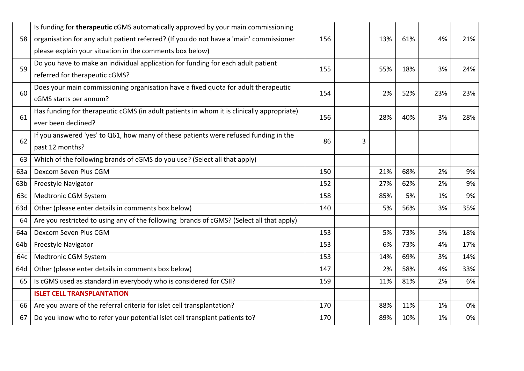| 58              | Is funding for therapeutic cGMS automatically approved by your main commissioning<br>organisation for any adult patient referred? (If you do not have a 'main' commissioner<br>please explain your situation in the comments box below) | 156 |   | 13% | 61% | 4%  | 21% |
|-----------------|-----------------------------------------------------------------------------------------------------------------------------------------------------------------------------------------------------------------------------------------|-----|---|-----|-----|-----|-----|
| 59              | Do you have to make an individual application for funding for each adult patient<br>referred for therapeutic cGMS?                                                                                                                      | 155 |   | 55% | 18% | 3%  | 24% |
| 60              | Does your main commissioning organisation have a fixed quota for adult therapeutic<br>cGMS starts per annum?                                                                                                                            | 154 |   | 2%  | 52% | 23% | 23% |
| 61              | Has funding for therapeutic cGMS (in adult patients in whom it is clinically appropriate)<br>ever been declined?                                                                                                                        | 156 |   | 28% | 40% | 3%  | 28% |
| 62              | If you answered 'yes' to Q61, how many of these patients were refused funding in the<br>past 12 months?                                                                                                                                 | 86  | 3 |     |     |     |     |
| 63              | Which of the following brands of cGMS do you use? (Select all that apply)                                                                                                                                                               |     |   |     |     |     |     |
| 63a             | Dexcom Seven Plus CGM                                                                                                                                                                                                                   | 150 |   | 21% | 68% | 2%  | 9%  |
| 63 <sub>b</sub> | <b>Freestyle Navigator</b>                                                                                                                                                                                                              | 152 |   | 27% | 62% | 2%  | 9%  |
| 63c             | Medtronic CGM System                                                                                                                                                                                                                    | 158 |   | 85% | 5%  | 1%  | 9%  |
| 63d             | Other (please enter details in comments box below)                                                                                                                                                                                      | 140 |   | 5%  | 56% | 3%  | 35% |
| 64              | Are you restricted to using any of the following brands of cGMS? (Select all that apply)                                                                                                                                                |     |   |     |     |     |     |
| 64a             | Dexcom Seven Plus CGM                                                                                                                                                                                                                   | 153 |   | 5%  | 73% | 5%  | 18% |
| 64b             | <b>Freestyle Navigator</b>                                                                                                                                                                                                              | 153 |   | 6%  | 73% | 4%  | 17% |
| 64c             | Medtronic CGM System                                                                                                                                                                                                                    | 153 |   | 14% | 69% | 3%  | 14% |
| 64d             | Other (please enter details in comments box below)                                                                                                                                                                                      | 147 |   | 2%  | 58% | 4%  | 33% |
| 65              | Is cGMS used as standard in everybody who is considered for CSII?                                                                                                                                                                       | 159 |   | 11% | 81% | 2%  | 6%  |
|                 | <b>ISLET CELL TRANSPLANTATION</b>                                                                                                                                                                                                       |     |   |     |     |     |     |
| 66              | Are you aware of the referral criteria for islet cell transplantation?                                                                                                                                                                  | 170 |   | 88% | 11% | 1%  | 0%  |
| 67              | Do you know who to refer your potential islet cell transplant patients to?                                                                                                                                                              | 170 |   | 89% | 10% | 1%  | 0%  |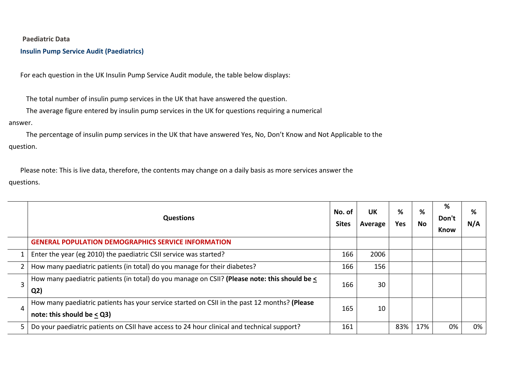**Paediatric Data**

**Insulin Pump Service Audit (Paediatrics)** 

For each question in the UK Insulin Pump Service Audit module, the table below displays:

The total number of insulin pump services in the UK that have answered the question.

The average figure entered by insulin pump services in the UK for questions requiring a numerical

#### answer.

The percentage of insulin pump services in the UK that have answered Yes, No, Don't Know and Not Applicable to the question.

Please note: This is live data, therefore, the contents may change on a daily basis as more services answer the questions.

|    | <b>Questions</b>                                                                                                              | No. of<br><b>Sites</b> | <b>UK</b><br>Average | %<br>Yes. | %<br>No | %<br>Don't<br>Know | %<br>N/A |
|----|-------------------------------------------------------------------------------------------------------------------------------|------------------------|----------------------|-----------|---------|--------------------|----------|
|    | <b>GENERAL POPULATION DEMOGRAPHICS SERVICE INFORMATION</b>                                                                    |                        |                      |           |         |                    |          |
|    | Enter the year (eg 2010) the paediatric CSII service was started?                                                             | 166                    | 2006                 |           |         |                    |          |
|    | How many paediatric patients (in total) do you manage for their diabetes?                                                     | 166                    | 156                  |           |         |                    |          |
| 3  | How many paediatric patients (in total) do you manage on CSII? (Please note: this should be <<br>Q <sub>2</sub>               | 166                    | 30                   |           |         |                    |          |
| 4  | How many paediatric patients has your service started on CSII in the past 12 months? (Please<br>note: this should be $< Q3$ ) | 165                    | 10                   |           |         |                    |          |
| 5. | Do your paediatric patients on CSII have access to 24 hour clinical and technical support?                                    | 161                    |                      | 83%       | 17%     | 0%                 | 0%       |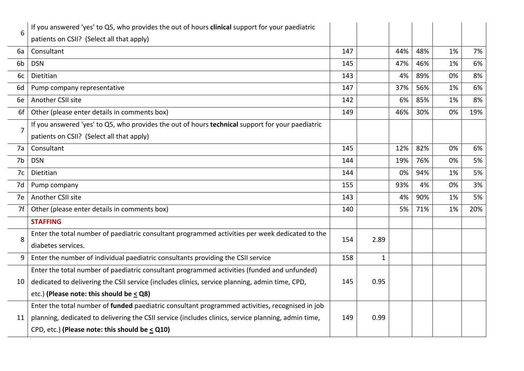| 6  | If you answered 'yes' to Q5, who provides the out of hours clinical support for your paediatric     |     |              |     |     |    |     |
|----|-----------------------------------------------------------------------------------------------------|-----|--------------|-----|-----|----|-----|
|    | patients on CSII? (Select all that apply)                                                           |     |              |     |     |    |     |
| 6a | Consultant                                                                                          | 147 |              | 44% | 48% | 1% | 7%  |
| 6b | <b>DSN</b>                                                                                          | 145 |              | 47% | 46% | 1% | 6%  |
| 6c | Dietitian                                                                                           | 143 |              | 4%  | 89% | 0% | 8%  |
| 6d | Pump company representative                                                                         | 147 |              | 37% | 56% | 1% | 6%  |
| 6e | Another CSII site                                                                                   | 142 |              | 6%  | 85% | 1% | 8%  |
| 6f | Other (please enter details in comments box)                                                        | 149 |              | 46% | 30% | 0% | 19% |
| 7  | If you answered 'yes' to Q5, who provides the out of hours technical support for your paediatric    |     |              |     |     |    |     |
|    | patients on CSII? (Select all that apply)                                                           |     |              |     |     |    |     |
| 7a | Consultant                                                                                          | 145 |              | 12% | 82% | 0% | 6%  |
| 7b | <b>DSN</b>                                                                                          | 144 |              | 19% | 76% | 0% | 5%  |
| 7c | Dietitian                                                                                           | 144 |              | 0%  | 94% | 1% | 5%  |
| 7d | Pump company                                                                                        | 155 |              | 93% | 4%  | 0% | 3%  |
| 7e | Another CSII site                                                                                   | 143 |              | 4%  | 90% | 1% | 5%  |
| 7f | Other (please enter details in comments box)                                                        | 140 |              | 5%  | 71% | 1% | 20% |
|    | <b>STAFFING</b>                                                                                     |     |              |     |     |    |     |
| 8  | Enter the total number of paediatric consultant programmed activities per week dedicated to the     | 154 | 2.89         |     |     |    |     |
|    | diabetes services.                                                                                  |     |              |     |     |    |     |
| 9  | Enter the number of individual paediatric consultants providing the CSII service                    | 158 | $\mathbf{1}$ |     |     |    |     |
|    | Enter the total number of paediatric consultant programmed activities (funded and unfunded)         |     |              |     |     |    |     |
| 10 | dedicated to delivering the CSII service (includes clinics, service planning, admin time, CPD,      | 145 | 0.95         |     |     |    |     |
|    | etc.) (Please note: this should be $\leq$ Q8)                                                       |     |              |     |     |    |     |
|    | Enter the total number of funded paediatric consultant programmed activities, recognised in job     |     |              |     |     |    |     |
| 11 | planning, dedicated to delivering the CSII service (includes clinics, service planning, admin time, | 149 | 0.99         |     |     |    |     |
|    | CPD, etc.) (Please note: this should be $\leq$ Q10)                                                 |     |              |     |     |    |     |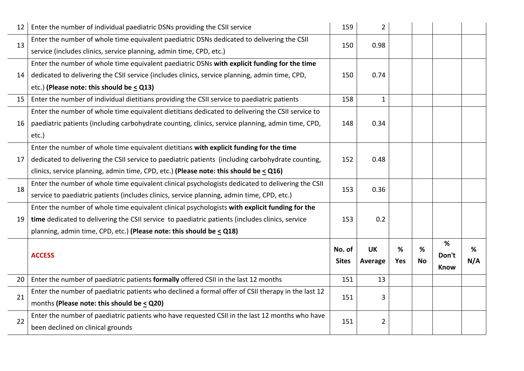| 12 | Enter the number of individual paediatric DSNs providing the CSII service                          | 159          | $\overline{2}$ |     |           |       |     |
|----|----------------------------------------------------------------------------------------------------|--------------|----------------|-----|-----------|-------|-----|
| 13 | Enter the number of whole time equivalent paediatric DSNs dedicated to delivering the CSII         | 150          | 0.98           |     |           |       |     |
|    | service (includes clinics, service planning, admin time, CPD, etc.)                                |              |                |     |           |       |     |
|    | Enter the number of whole time equivalent paediatric DSNs with explicit funding for the time       |              |                |     |           |       |     |
| 14 | dedicated to delivering the CSII service (includes clinics, service planning, admin time, CPD,     | 150          | 0.74           |     |           |       |     |
|    | etc.) (Please note: this should be $\leq$ Q13)                                                     |              |                |     |           |       |     |
| 15 | Enter the number of individual dietitians providing the CSII service to paediatric patients        | 158          | $\mathbf{1}$   |     |           |       |     |
|    | Enter the number of whole time equivalent dietitians dedicated to delivering the CSII service to   |              |                |     |           |       |     |
| 16 | paediatric patients (including carbohydrate counting, clinics, service planning, admin time, CPD,  | 148          | 0.34           |     |           |       |     |
|    | etc.)                                                                                              |              |                |     |           |       |     |
|    | Enter the number of whole time equivalent dietitians with explicit funding for the time            |              |                |     |           |       |     |
| 17 | dedicated to delivering the CSII service to paediatric patients (including carbohydrate counting,  | 152          | 0.48           |     |           |       |     |
|    | clinics, service planning, admin time, CPD, etc.) (Please note: this should be $\leq$ Q16)         |              |                |     |           |       |     |
| 18 | Enter the number of whole time equivalent clinical psychologists dedicated to delivering the CSII  | 153          | 0.36           |     |           |       |     |
|    | service to paediatric patients (includes clinics, service planning, admin time, CPD, etc.)         |              |                |     |           |       |     |
|    | Enter the number of whole time equivalent clinical psychologists with explicit funding for the     |              |                |     |           |       |     |
| 19 | time dedicated to delivering the CSII service to paediatric patients (includes clinics, service    | 153          | 0.2            |     |           |       |     |
|    | planning, admin time, CPD, etc.) (Please note: this should be $\leq$ Q18)                          |              |                |     |           |       |     |
|    |                                                                                                    | No. of       | <b>UK</b>      | %   | %         | %     | %   |
|    | <b>ACCESS</b>                                                                                      | <b>Sites</b> | Average        | Yes | <b>No</b> | Don't | N/A |
|    |                                                                                                    |              |                |     |           | Know  |     |
| 20 | Enter the number of paediatric patients formally offered CSII in the last 12 months                | 151          | 13             |     |           |       |     |
| 21 | Enter the number of paediatric patients who declined a formal offer of CSII therapy in the last 12 | 151          | 3              |     |           |       |     |
|    | months (Please note: this should be $\leq$ Q20)                                                    |              |                |     |           |       |     |
| 22 | Enter the number of paediatric patients who have requested CSII in the last 12 months who have     |              |                |     |           |       |     |
|    |                                                                                                    | 151          | $\overline{2}$ |     |           |       |     |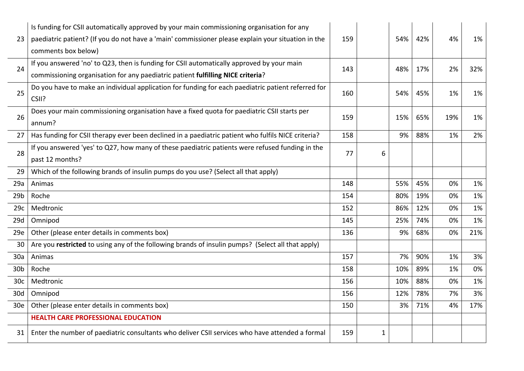| 23              | Is funding for CSII automatically approved by your main commissioning organisation for any<br>paediatric patient? (If you do not have a 'main' commissioner please explain your situation in the<br>comments box below) | 159 |   | 54% | 42% | 4%  | 1%  |
|-----------------|-------------------------------------------------------------------------------------------------------------------------------------------------------------------------------------------------------------------------|-----|---|-----|-----|-----|-----|
| 24              | If you answered 'no' to Q23, then is funding for CSII automatically approved by your main<br>commissioning organisation for any paediatric patient fulfilling NICE criteria?                                            | 143 |   | 48% | 17% | 2%  | 32% |
| 25              | Do you have to make an individual application for funding for each paediatric patient referred for<br>CSII?                                                                                                             | 160 |   | 54% | 45% | 1%  | 1%  |
| 26              | Does your main commissioning organisation have a fixed quota for paediatric CSII starts per<br>annum?                                                                                                                   | 159 |   | 15% | 65% | 19% | 1%  |
| 27              | Has funding for CSII therapy ever been declined in a paediatric patient who fulfils NICE criteria?                                                                                                                      | 158 |   | 9%  | 88% | 1%  | 2%  |
| 28              | If you answered 'yes' to Q27, how many of these paediatric patients were refused funding in the<br>past 12 months?                                                                                                      | 77  | 6 |     |     |     |     |
| 29              | Which of the following brands of insulin pumps do you use? (Select all that apply)                                                                                                                                      |     |   |     |     |     |     |
| 29a             | Animas                                                                                                                                                                                                                  | 148 |   | 55% | 45% | 0%  | 1%  |
| 29 <sub>b</sub> | Roche                                                                                                                                                                                                                   | 154 |   | 80% | 19% | 0%  | 1%  |
| 29c             | Medtronic                                                                                                                                                                                                               | 152 |   | 86% | 12% | 0%  | 1%  |
| 29d             | Omnipod                                                                                                                                                                                                                 | 145 |   | 25% | 74% | 0%  | 1%  |
| 29e             | Other (please enter details in comments box)                                                                                                                                                                            | 136 |   | 9%  | 68% | 0%  | 21% |
| 30              | Are you restricted to using any of the following brands of insulin pumps? (Select all that apply)                                                                                                                       |     |   |     |     |     |     |
| 30a             | Animas                                                                                                                                                                                                                  | 157 |   | 7%  | 90% | 1%  | 3%  |
| 30 <sub>b</sub> | Roche                                                                                                                                                                                                                   | 158 |   | 10% | 89% | 1%  | 0%  |
| 30 <sub>c</sub> | Medtronic                                                                                                                                                                                                               | 156 |   | 10% | 88% | 0%  | 1%  |
| 30d             | Omnipod                                                                                                                                                                                                                 | 156 |   | 12% | 78% | 7%  | 3%  |
| 30 <sub>e</sub> | Other (please enter details in comments box)                                                                                                                                                                            | 150 |   | 3%  | 71% | 4%  | 17% |
|                 | <b>HEALTH CARE PROFESSIONAL EDUCATION</b>                                                                                                                                                                               |     |   |     |     |     |     |
| 31              | Enter the number of paediatric consultants who deliver CSII services who have attended a formal                                                                                                                         | 159 | 1 |     |     |     |     |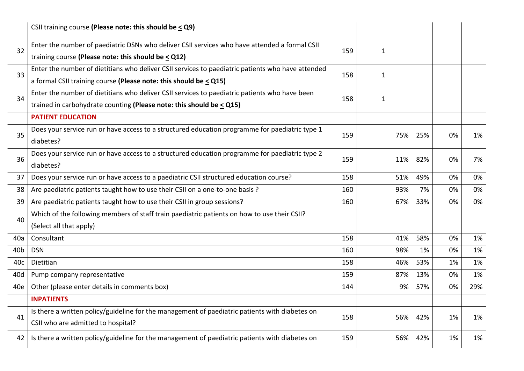|                 | CSII training course (Please note: this should be $\leq$ Q9)                                      |     |              |     |     |    |     |
|-----------------|---------------------------------------------------------------------------------------------------|-----|--------------|-----|-----|----|-----|
| 32              | Enter the number of paediatric DSNs who deliver CSII services who have attended a formal CSII     |     | $\mathbf{1}$ |     |     |    |     |
|                 | training course (Please note: this should be $\leq$ Q12)                                          | 159 |              |     |     |    |     |
| 33              | Enter the number of dietitians who deliver CSII services to paediatric patients who have attended | 158 | 1            |     |     |    |     |
|                 | a formal CSII training course (Please note: this should be $\leq$ Q15)                            |     |              |     |     |    |     |
| 34              | Enter the number of dietitians who deliver CSII services to paediatric patients who have been     | 158 | $\mathbf{1}$ |     |     |    |     |
|                 | trained in carbohydrate counting (Please note: this should be $\leq$ Q15)                         |     |              |     |     |    |     |
|                 | <b>PATIENT EDUCATION</b>                                                                          |     |              |     |     |    |     |
| 35              | Does your service run or have access to a structured education programme for paediatric type 1    | 159 |              | 75% | 25% | 0% | 1%  |
|                 | diabetes?                                                                                         |     |              |     |     |    |     |
| 36              | Does your service run or have access to a structured education programme for paediatric type 2    | 159 |              | 11% | 82% | 0% | 7%  |
|                 | diabetes?                                                                                         |     |              |     |     |    |     |
| 37              | Does your service run or have access to a paediatric CSII structured education course?            | 158 |              | 51% | 49% | 0% | 0%  |
| 38              | Are paediatric patients taught how to use their CSII on a one-to-one basis ?                      | 160 |              | 93% | 7%  | 0% | 0%  |
| 39              | Are paediatric patients taught how to use their CSII in group sessions?                           | 160 |              | 67% | 33% | 0% | 0%  |
| 40              | Which of the following members of staff train paediatric patients on how to use their CSII?       |     |              |     |     |    |     |
|                 | (Select all that apply)                                                                           |     |              |     |     |    |     |
| 40a             | Consultant                                                                                        | 158 |              | 41% | 58% | 0% | 1%  |
| 40 <sub>b</sub> | <b>DSN</b>                                                                                        | 160 |              | 98% | 1%  | 0% | 1%  |
| 40c             | Dietitian                                                                                         | 158 |              | 46% | 53% | 1% | 1%  |
| 40d             | Pump company representative                                                                       | 159 |              | 87% | 13% | 0% | 1%  |
| 40e             | Other (please enter details in comments box)                                                      | 144 |              | 9%  | 57% | 0% | 29% |
|                 | <b>INPATIENTS</b>                                                                                 |     |              |     |     |    |     |
| 41              | Is there a written policy/guideline for the management of paediatric patients with diabetes on    | 158 |              | 56% | 42% | 1% | 1%  |
|                 | CSII who are admitted to hospital?                                                                |     |              |     |     |    |     |
| 42              | Is there a written policy/guideline for the management of paediatric patients with diabetes on    | 159 |              | 56% | 42% | 1% | 1%  |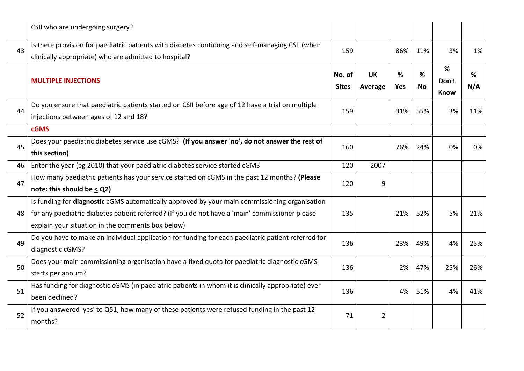|    | CSII who are undergoing surgery?                                                                                                                                                                                                                     |                        |                      |                 |                |                           |          |
|----|------------------------------------------------------------------------------------------------------------------------------------------------------------------------------------------------------------------------------------------------------|------------------------|----------------------|-----------------|----------------|---------------------------|----------|
| 43 | Is there provision for paediatric patients with diabetes continuing and self-managing CSII (when<br>clinically appropriate) who are admitted to hospital?                                                                                            | 159                    |                      | 86%             | 11%            | 3%                        | 1%       |
|    | <b>MULTIPLE INJECTIONS</b>                                                                                                                                                                                                                           | No. of<br><b>Sites</b> | <b>UK</b><br>Average | ℅<br><b>Yes</b> | %<br><b>No</b> | %<br>Don't<br><b>Know</b> | %<br>N/A |
| 44 | Do you ensure that paediatric patients started on CSII before age of 12 have a trial on multiple<br>injections between ages of 12 and 18?                                                                                                            | 159                    |                      | 31%             | 55%            | 3%                        | 11%      |
|    | <b>cGMS</b>                                                                                                                                                                                                                                          |                        |                      |                 |                |                           |          |
| 45 | Does your paediatric diabetes service use cGMS? (If you answer 'no', do not answer the rest of<br>this section)                                                                                                                                      | 160                    |                      | 76%             | 24%            | 0%                        | 0%       |
| 46 | Enter the year (eg 2010) that your paediatric diabetes service started cGMS                                                                                                                                                                          | 120                    | 2007                 |                 |                |                           |          |
| 47 | How many paediatric patients has your service started on cGMS in the past 12 months? (Please<br>note: this should be $\leq$ Q2)                                                                                                                      | 120                    | 9                    |                 |                |                           |          |
| 48 | Is funding for diagnostic cGMS automatically approved by your main commissioning organisation<br>for any paediatric diabetes patient referred? (If you do not have a 'main' commissioner please<br>explain your situation in the comments box below) | 135                    |                      | 21%             | 52%            | 5%                        | 21%      |
| 49 | Do you have to make an individual application for funding for each paediatric patient referred for<br>diagnostic cGMS?                                                                                                                               | 136                    |                      | 23%             | 49%            | 4%                        | 25%      |
| 50 | Does your main commissioning organisation have a fixed quota for paediatric diagnostic cGMS<br>starts per annum?                                                                                                                                     | 136                    |                      | 2%              | 47%            | 25%                       | 26%      |
| 51 | Has funding for diagnostic cGMS (in paediatric patients in whom it is clinically appropriate) ever<br>been declined?                                                                                                                                 | 136                    |                      | 4%              | 51%            | 4%                        | 41%      |
| 52 | If you answered 'yes' to Q51, how many of these patients were refused funding in the past 12<br>months?                                                                                                                                              | 71                     | 2                    |                 |                |                           |          |